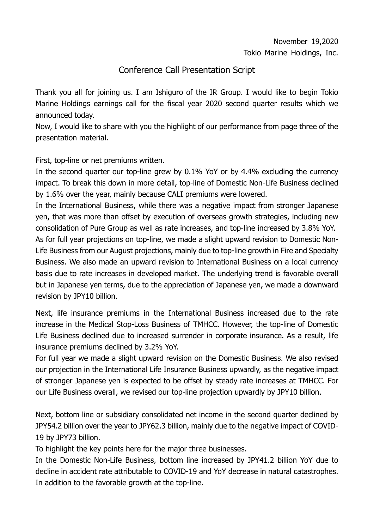## Conference Call Presentation Script

Thank you all for joining us. I am Ishiguro of the IR Group. I would like to begin Tokio Marine Holdings earnings call for the fiscal year 2020 second quarter results which we announced today.

Now, I would like to share with you the highlight of our performance from page three of the presentation material.

First, top-line or net premiums written.

In the second quarter our top-line grew by 0.1% YoY or by 4.4% excluding the currency impact. To break this down in more detail, top-line of Domestic Non-Life Business declined by 1.6% over the year, mainly because CALI premiums were lowered.

In the International Business, while there was a negative impact from stronger Japanese yen, that was more than offset by execution of overseas growth strategies, including new consolidation of Pure Group as well as rate increases, and top-line increased by 3.8% YoY. As for full year projections on top-line, we made a slight upward revision to Domestic Non-Life Business from our August projections, mainly due to top-line growth in Fire and Specialty Business. We also made an upward revision to International Business on a local currency basis due to rate increases in developed market. The underlying trend is favorable overall but in Japanese yen terms, due to the appreciation of Japanese yen, we made a downward revision by JPY10 billion.

Next, life insurance premiums in the International Business increased due to the rate increase in the Medical Stop-Loss Business of TMHCC. However, the top-line of Domestic Life Business declined due to increased surrender in corporate insurance. As a result, life insurance premiums declined by 3.2% YoY.

For full year we made a slight upward revision on the Domestic Business. We also revised our projection in the International Life Insurance Business upwardly, as the negative impact of stronger Japanese yen is expected to be offset by steady rate increases at TMHCC. For our Life Business overall, we revised our top-line projection upwardly by JPY10 billion.

Next, bottom line or subsidiary consolidated net income in the second quarter declined by JPY54.2 billion over the year to JPY62.3 billion, mainly due to the negative impact of COVID-19 by JPY73 billion.

To highlight the key points here for the major three businesses.

In the Domestic Non-Life Business, bottom line increased by JPY41.2 billion YoY due to decline in accident rate attributable to COVID-19 and YoY decrease in natural catastrophes. In addition to the favorable growth at the top-line.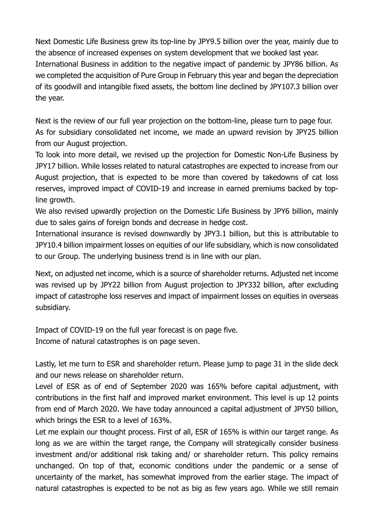Next Domestic Life Business grew its top-line by JPY9.5 billion over the year, mainly due to the absence of increased expenses on system development that we booked last year. International Business in addition to the negative impact of pandemic by JPY86 billion. As we completed the acquisition of Pure Group in February this year and began the depreciation of its goodwill and intangible fixed assets, the bottom line declined by JPY107.3 billion over the year.

Next is the review of our full year projection on the bottom-line, please turn to page four. As for subsidiary consolidated net income, we made an upward revision by JPY25 billion from our August projection.

To look into more detail, we revised up the projection for Domestic Non-Life Business by JPY17 billion. While losses related to natural catastrophes are expected to increase from our August projection, that is expected to be more than covered by takedowns of cat loss reserves, improved impact of COVID-19 and increase in earned premiums backed by topline growth.

We also revised upwardly projection on the Domestic Life Business by JPY6 billion, mainly due to sales gains of foreign bonds and decrease in hedge cost.

International insurance is revised downwardly by JPY3.1 billion, but this is attributable to JPY10.4 billion impairment losses on equities of our life subsidiary, which is now consolidated to our Group. The underlying business trend is in line with our plan.

Next, on adjusted net income, which is a source of shareholder returns. Adjusted net income was revised up by JPY22 billion from August projection to JPY332 billion, after excluding impact of catastrophe loss reserves and impact of impairment losses on equities in overseas subsidiary.

Impact of COVID-19 on the full year forecast is on page five. Income of natural catastrophes is on page seven.

Lastly, let me turn to ESR and shareholder return. Please jump to page 31 in the slide deck and our news release on shareholder return.

Level of ESR as of end of September 2020 was 165% before capital adjustment, with contributions in the first half and improved market environment. This level is up 12 points from end of March 2020. We have today announced a capital adjustment of JPY50 billion, which brings the ESR to a level of 163%.

Let me explain our thought process. First of all, ESR of 165% is within our target range. As long as we are within the target range, the Company will strategically consider business investment and/or additional risk taking and/ or shareholder return. This policy remains unchanged. On top of that, economic conditions under the pandemic or a sense of uncertainty of the market, has somewhat improved from the earlier stage. The impact of natural catastrophes is expected to be not as big as few years ago. While we still remain